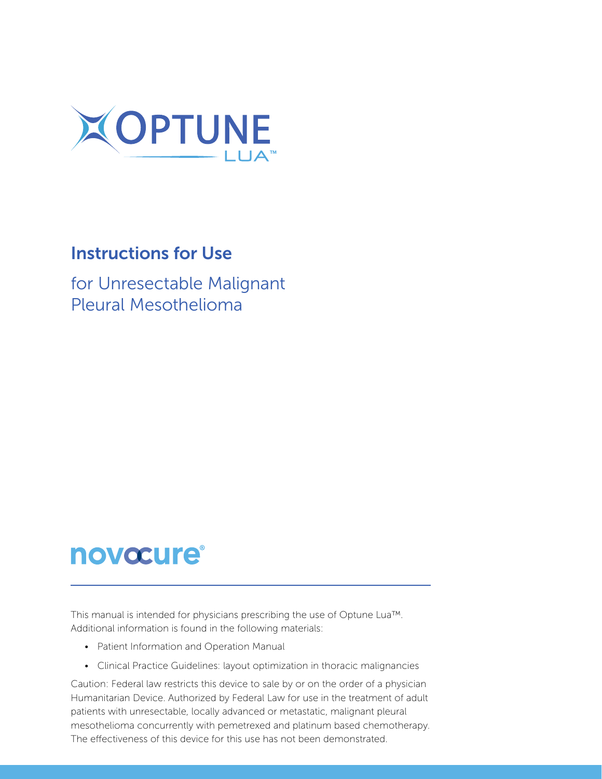

### **Instructions for Use**

for Unresectable Malignant Pleural Mesothelioma

# **novocure®**

This manual is intended for physicians prescribing the use of Optune Lua<sup>TM</sup>. Additional information is found in the following materials:

- Patient Information and Operation Manual
- Clinical Practice Guidelines: layout optimization in thoracic malignancies

Caution: Federal law restricts this device to sale by or on the order of a physician Humanitarian Device. Authorized by Federal Law for use in the treatment of adult patients with unresectable, locally advanced or metastatic, malignant pleural mesothelioma concurrently with pemetrexed and platinum based chemotherapy. The effectiveness of this device for this use has not been demonstrated.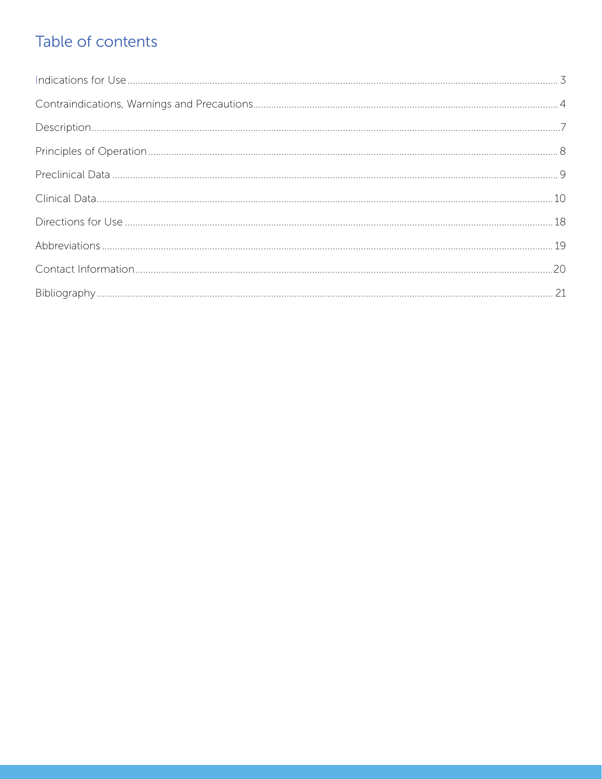# Table of contents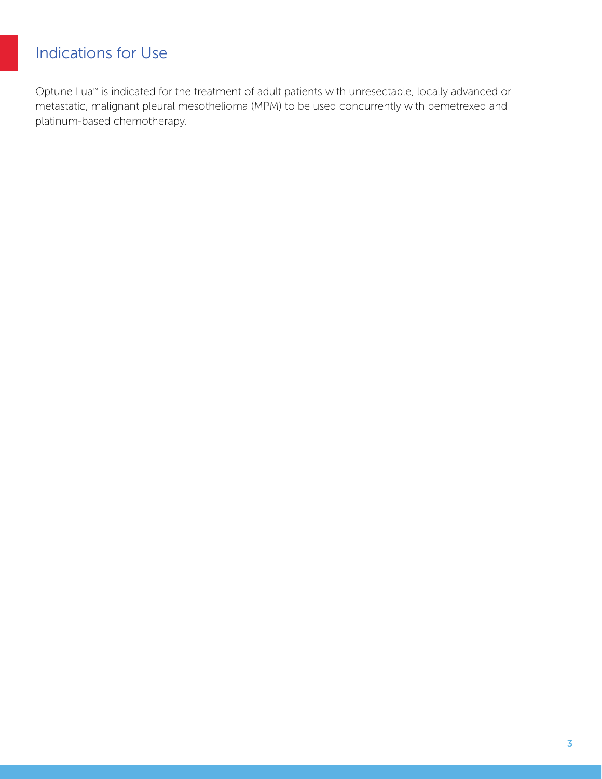### <span id="page-2-0"></span>Indications for Use

Optune Lua<sup>™</sup> is indicated for the treatment of adult patients with unresectable, locally advanced or metastatic, malignant pleural mesothelioma (MPM) to be used concurrently with pemetrexed and platinum-based chemotherapy.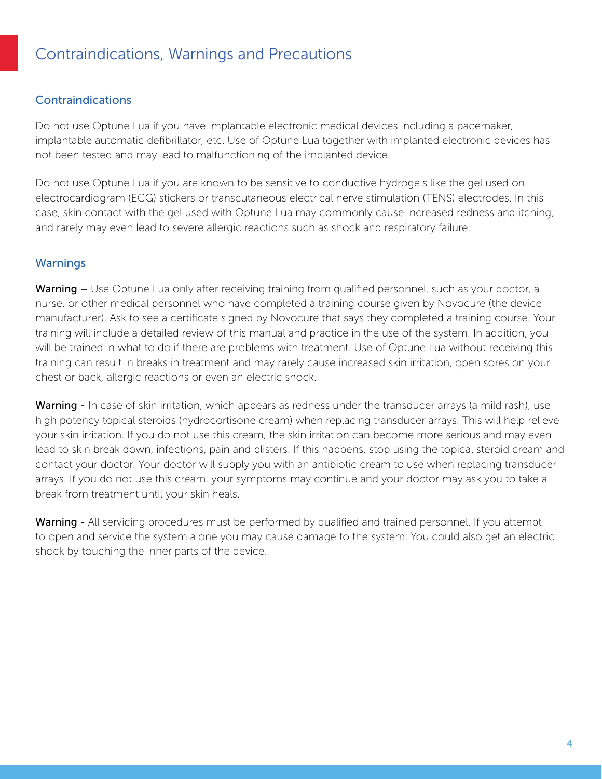### <span id="page-3-0"></span>Contraindications, Warnings and Precautions

#### Contraindications

Do not use Optune Lua if you have implantable electronic medical devices including a pacemaker, implantable automatic defibrillator, etc. Use of Optune Lua together with implanted electronic devices has not been tested and may lead to malfunctioning of the implanted device.

Do not use Optune Lua if you are known to be sensitive to conductive hydrogels like the gel used on electrocardiogram (ECG) stickers or transcutaneous electrical nerve stimulation (TENS) electrodes. In this case, skin contact with the gel used with Optune Lua may commonly cause increased redness and itching, and rarely may even lead to severe allergic reactions such as shock and respiratory failure.

#### Warnings

**Warning –** Use Optune Lua only after receiving training from qualified personnel, such as your doctor, a nurse, or other medical personnel who have completed a training course given by Novocure (the device manufacturer). Ask to see a certificate signed by Novocure that says they completed a training course. Your training will include a detailed review of this manual and practice in the use of the system. In addition, you will be trained in what to do if there are problems with treatment. Use of Optune Lua without receiving this training can result in breaks in treatment and may rarely cause increased skin irritation, open sores on your chest or back, allergic reactions or even an electric shock.

Warning - In case of skin irritation, which appears as redness under the transducer arrays (a mild rash), use high potency topical steroids (hydrocortisone cream) when replacing transducer arrays. This will help relieve your skin irritation. If you do not use this cream, the skin irritation can become more serious and may even lead to skin break down, infections, pain and blisters. If this happens, stop using the topical steroid cream and contact your doctor. Your doctor will supply you with an antibiotic cream to use when replacing transducer arrays. If you do not use this cream, your symptoms may continue and your doctor may ask you to take a break from treatment until your skin heals.

**Warning -** All servicing procedures must be performed by qualified and trained personnel. If you attempt to open and service the system alone you may cause damage to the system. You could also get an electric shock by touching the inner parts of the device.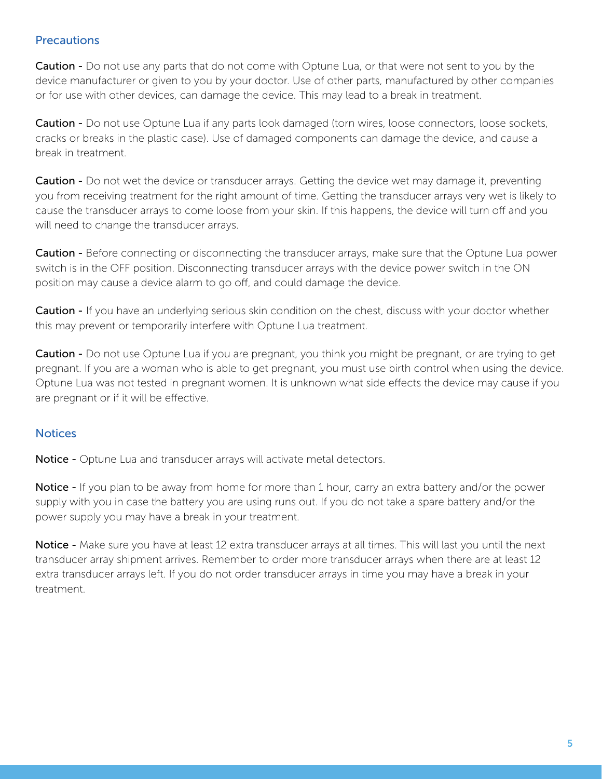#### **Precautions**

**Caution** - Do not use any parts that do not come with Optune Lua, or that were not sent to you by the device manufacturer or given to you by your doctor. Use of other parts, manufactured by other companies or for use with other devices, can damage the device. This may lead to a break in treatment.

Caution - Do not use Optune Lua if any parts look damaged (torn wires, loose connectors, loose sockets, cracks or breaks in the plastic case). Use of damaged components can damage the device, and cause a break in treatment.

**Caution -** Do not wet the device or transducer arrays. Getting the device wet may damage it, preventing you from receiving treatment for the right amount of time. Getting the transducer arrays very wet is likely to cause the transducer arrays to come loose from your skin. If this happens, the device will turn off and you will need to change the transducer arrays.

**Caution -** Before connecting or disconnecting the transducer arrays, make sure that the Optune Lua power switch is in the OFF position. Disconnecting transducer arrays with the device power switch in the ON position may cause a device alarm to go off, and could damage the device.

**Caution -** If you have an underlying serious skin condition on the chest, discuss with your doctor whether this may prevent or temporarily interfere with Optune Lua treatment.

**Caution** - Do not use Optune Lua if you are pregnant, you think you might be pregnant, or are trying to get pregnant. If you are a woman who is able to get pregnant, you must use birth control when using the device. Optune Lua was not tested in pregnant women. It is unknown what side effects the device may cause if you are pregnant or if it will be effective.

### **Notices**

Notice - Optune Lua and transducer arrays will activate metal detectors.

Notice - If you plan to be away from home for more than 1 hour, carry an extra battery and/or the power supply with you in case the battery you are using runs out. If you do not take a spare battery and/or the power supply you may have a break in your treatment.

Notice - Make sure you have at least 12 extra transducer arrays at all times. This will last you until the next transducer array shipment arrives. Remember to order more transducer arrays when there are at least 12 extra transducer arrays left. If you do not order transducer arrays in time you may have a break in your .treatment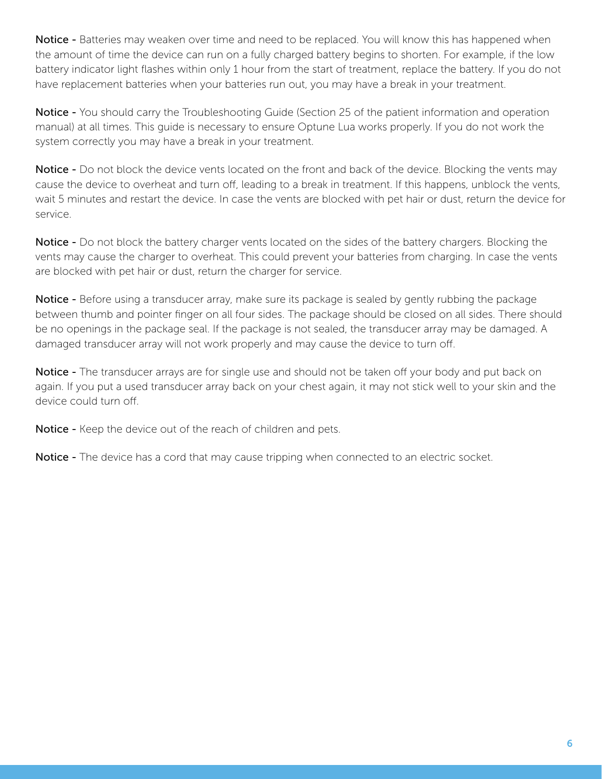Notice - Batteries may weaken over time and need to be replaced. You will know this has happened when the amount of time the device can run on a fully charged battery begins to shorten. For example, if the low battery indicator light flashes within only 1 hour from the start of treatment, replace the battery. If you do not have replacement batteries when your batteries run out, you may have a break in your treatment.

**Notice -** You should carry the Troubleshooting Guide (Section 25 of the patient information and operation manual) at all times. This quide is necessary to ensure Optune Lua works properly. If you do not work the system correctly you may have a break in your treatment.

Notice - Do not block the device vents located on the front and back of the device. Blocking the vents may cause the device to overheat and turn off, leading to a break in treatment. If this happens, unblock the vents, wait 5 minutes and restart the device. In case the vents are blocked with pet hair or dust, return the device for .service

Notice - Do not block the battery charger vents located on the sides of the battery chargers. Blocking the vents may cause the charger to overheat. This could prevent your batteries from charging. In case the vents are blocked with pet hair or dust, return the charger for service.

Notice - Before using a transducer array, make sure its package is sealed by gently rubbing the package between thumb and pointer finger on all four sides. The package should be closed on all sides. There should be no openings in the package seal. If the package is not sealed, the transducer array may be damaged. A damaged transducer array will not work properly and may cause the device to turn off.

**Notice -** The transducer arrays are for single use and should not be taken off your body and put back on again. If you put a used transducer array back on your chest again, it may not stick well to your skin and the device could turn off.

Notice - Keep the device out of the reach of children and pets.

**Notice -** The device has a cord that may cause tripping when connected to an electric socket.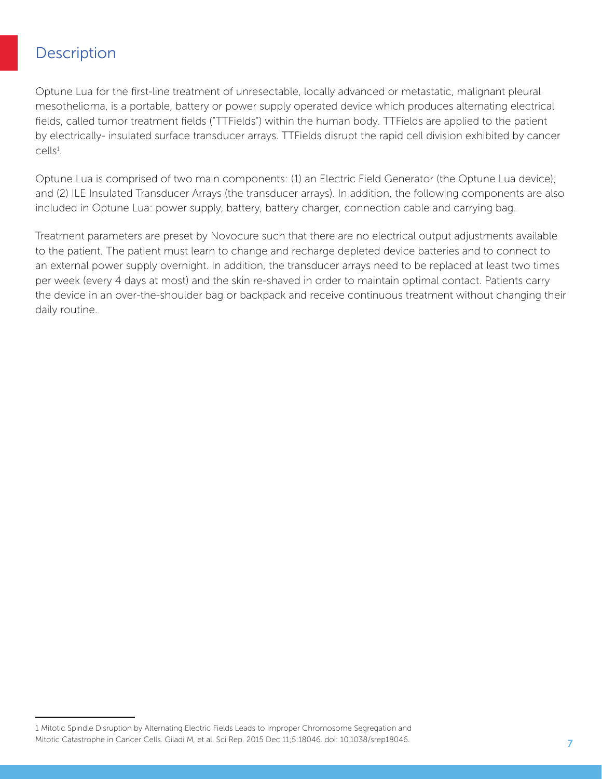### <span id="page-6-0"></span>**Description**

Optune Lua for the first-line treatment of unresectable, locally advanced or metastatic, malignant pleural mesothelioma, is a portable, battery or power supply operated device which produces alternating electrical fields, called tumor treatment fields ("TTFields") within the human body. TTFields are applied to the patient by electrically- insulated surface transducer arrays. TTFields disrupt the rapid cell division exhibited by cancer cells<sup>1</sup>.

Optune Lua is comprised of two main components: (1) an Electric Field Generator (the Optune Lua device); and (2) ILE Insulated Transducer Arrays (the transducer arrays). In addition, the following components are also included in Optune Lua: power supply, battery, battery charger, connection cable and carrying bag.

Treatment parameters are preset by Novocure such that there are no electrical output adjustments available to the patient. The patient must learn to change and recharge depleted device batteries and to connect to an external power supply overnight. In addition, the transducer arrays need to be replaced at least two times per week (every 4 days at most) and the skin re-shaved in order to maintain optimal contact. Patients carry the device in an over-the-shoulder bag or backpack and receive continuous treatment without changing their daily routine.

<sup>1</sup> Mitotic Spindle Disruption by Alternating Electric Fields Leads to Improper Chromosome Segregation and Mitotic Catastrophe in Cancer Cells. Giladi M, et al. Sci Rep. 2015 Dec 11;5:18046. doi: 10.1038/srep18046.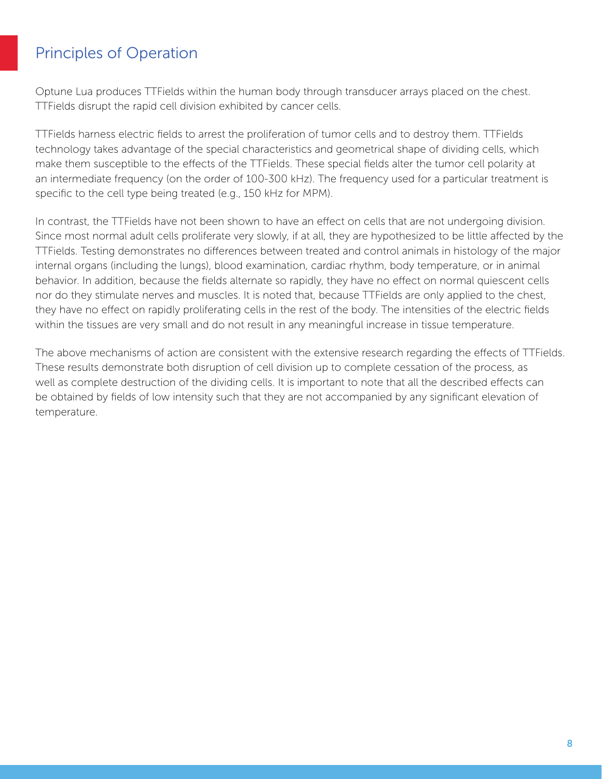### <span id="page-7-0"></span>Principles of Operation

Optune Lua produces TTFields within the human body through transducer arrays placed on the chest. TTFields disrupt the rapid cell division exhibited by cancer cells.

TTFields harness electric fields to arrest the proliferation of tumor cells and to destroy them. TTFields technology takes advantage of the special characteristics and geometrical shape of dividing cells, which make them susceptible to the effects of the TTFields. These special fields alter the tumor cell polarity at an intermediate frequency (on the order of 100-300 kHz). The frequency used for a particular treatment is specific to the cell type being treated (e.g., 150 kHz for MPM).

In contrast, the TTFields have not been shown to have an effect on cells that are not undergoing division. Since most normal adult cells proliferate very slowly, if at all, they are hypothesized to be little affected by the TTFields. Testing demonstrates no differences between treated and control animals in histology of the major internal organs (including the lungs), blood examination, cardiac rhythm, body temperature, or in animal behavior. In addition, because the fields alternate so rapidly, they have no effect on normal quiescent cells nor do they stimulate nerves and muscles. It is noted that, because TTFields are only applied to the chest, they have no effect on rapidly proliferating cells in the rest of the body. The intensities of the electric fields within the tissues are very small and do not result in any meaningful increase in tissue temperature.

The above mechanisms of action are consistent with the extensive research regarding the effects of TTFields. These results demonstrate both disruption of cell division up to complete cessation of the process, as well as complete destruction of the dividing cells. It is important to note that all the described effects can be obtained by fields of low intensity such that they are not accompanied by any significant elevation of temperature.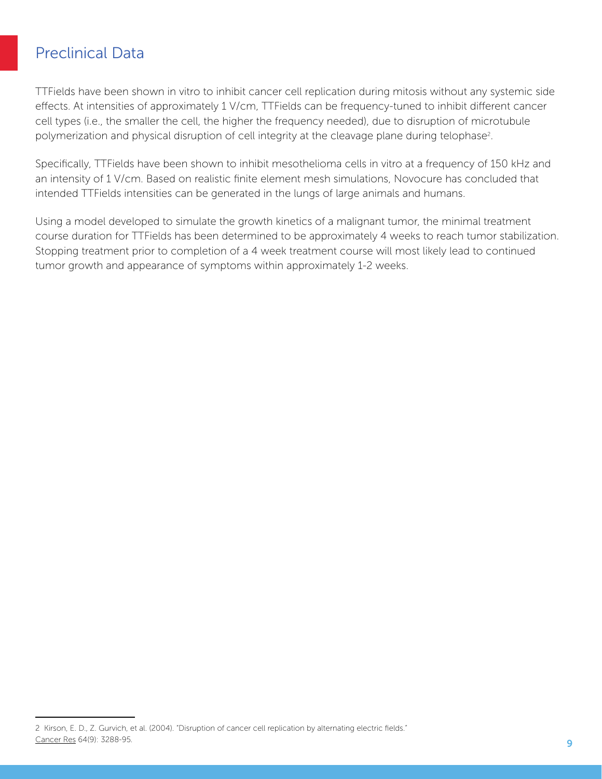### <span id="page-8-0"></span>**Preclinical Data**

TTFields have been shown in vitro to inhibit cancer cell replication during mitosis without any systemic side effects. At intensities of approximately 1 V/cm, TTFields can be frequency-tuned to inhibit different cancer cell types (i.e., the smaller the cell, the higher the frequency needed), due to disruption of microtubule polymerization and physical disruption of cell integrity at the cleavage plane during telophase<sup>2</sup>.

Specifically, TTFields have been shown to inhibit mesothelioma cells in vitro at a frequency of 150 kHz and an intensity of 1 V/cm. Based on realistic finite element mesh simulations, Novocure has concluded that intended TTFields intensities can be generated in the lungs of large animals and humans.

Using a model developed to simulate the growth kinetics of a malignant tumor, the minimal treatment course duration for TTFields has been determined to be approximately 4 weeks to reach tumor stabilization. Stopping treatment prior to completion of a 4 week treatment course will most likely lead to continued tumor growth and appearance of symptoms within approximately 1-2 weeks.

<sup>2</sup> Kirson, E. D., Z. Gurvich, et al. (2004). "Disruption of cancer cell replication by alternating electric fields." Cancer Res 64(9): 3288-95.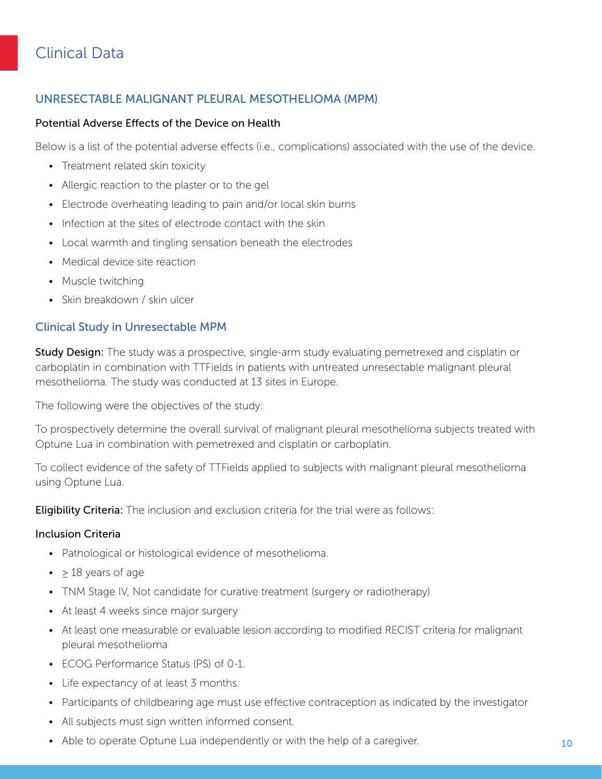# <span id="page-9-0"></span>**Clinical Data**

### UNRESECTABLE MALIGNANT PLEURAL MESOTHELIOMA (MPM)

#### Potential Adverse Effects of the Device on Health

Below is a list of the potential adverse effects (i.e., complications) associated with the use of the device.

- Treatment related skin toxicity
- Allergic reaction to the plaster or to the gel
- Electrode overheating leading to pain and/or local skin burns
- Infection at the sites of electrode contact with the skin
- Local warmth and tingling sensation beneath the electrodes
- Medical device site reaction
- Muscle twitching
- Skin breakdown / skin ulcer

#### **Clinical Study in Unresectable MPM**

**Study Design:** The study was a prospective, single-arm study evaluating pemetrexed and cisplatin or carboplatin in combination with TTFields in patients with untreated unresectable malignant pleural mesothelioma. The study was conducted at 13 sites in Europe.

The following were the objectives of the study:

To prospectively determine the overall survival of malignant pleural mesothelioma subjects treated with Optune Lua in combination with pemetrexed and cisplatin or carboplatin.

To collect evidence of the safety of TTFields applied to subjects with malignant pleural mesothelioma using Optune Lua.

**Eligibility Criteria:** The inclusion and exclusion criteria for the trial were as follows:

#### **Inclusion Criteria**

- Pathological or histological evidence of mesothelioma.
- $\geq 18$  years of age
- TNM Stage IV, Not candidate for curative treatment (surgery or radiotherapy)
- At least 4 weeks since major surgery
- At least one measurable or evaluable lesion according to modified RECIST criteria for malignant pleural mesothelioma
- ECOG Performance Status (PS) of 0-1.
- Life expectancy of at least 3 months.
- Participants of childbearing age must use effective contraception as indicated by the investigator
- All subjects must sign written informed consent.
- Able to operate Optune Lua independently or with the help of a caregiver.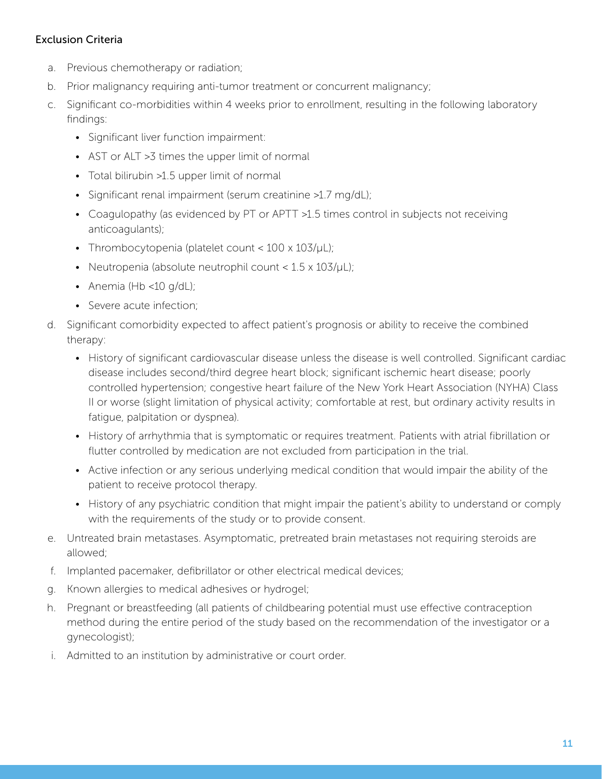#### **Exclusion Criteria**

- a. Previous chemotherapy or radiation;
- b. Prior malignancy requiring anti-tumor treatment or concurrent malignancy;
- c. Significant co-morbidities within 4 weeks prior to enrollment, resulting in the following laboratory :findings
	- Significant liver function impairment:
	- AST or ALT > 3 times the upper limit of normal
	- Total bilirubin >1.5 upper limit of normal
	- Significant renal impairment (serum creatinine >1.7 mg/dL);
	- Coagulopathy (as evidenced by PT or APTT >1.5 times control in subjects not receiving anticoagulants);
	- Thrombocytopenia (platelet count < 100 x 103/ µL);
	- Neutropenia (absolute neutrophil count  $< 1.5 \times 103 / \mu L$ );
	- Anemia (Hb <10  $q/dL$ );
	- Severe acute infection;
- d. Significant comorbidity expected to affect patient's prognosis or ability to receive the combined therapy:
	- History of significant cardiovascular disease unless the disease is well controlled. Significant cardiac disease includes second/third degree heart block; significant ischemic heart disease; poorly controlled hypertension; congestive heart failure of the New York Heart Association (NYHA) Class II or worse (slight limitation of physical activity; comfortable at rest, but ordinary activity results in fatique, palpitation or dyspnea).
	- History of arrhythmia that is symptomatic or requires treatment. Patients with atrial fibrillation or flutter controlled by medication are not excluded from participation in the trial.
	- Active infection or any serious underlying medical condition that would impair the ability of the patient to receive protocol therapy.
	- History of any psychiatric condition that might impair the patient's ability to understand or comply with the requirements of the study or to provide consent.
- e. Untreated brain metastases. Asymptomatic, pretreated brain metastases not requiring steroids are allowed:
- f. Implanted pacemaker, defibrillator or other electrical medical devices;
- g. Known allergies to medical adhesives or hydrogel;
- h. Pregnant or breastfeeding (all patients of childbearing potential must use effective contraception method during the entire period of the study based on the recommendation of the investigator or a gynecologist);
- i. Admitted to an institution by administrative or court order.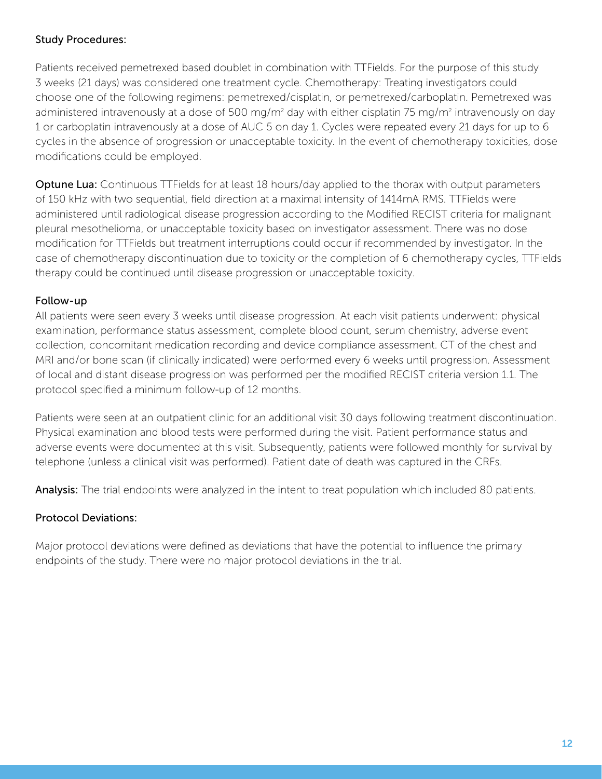#### Study Procedures:

Patients received pemetrexed based doublet in combination with TTFields. For the purpose of this study 3 weeks (21 days) was considered one treatment cycle. Chemotherapy: Treating investigators could choose one of the following regimens: pemetrexed/cisplatin, or pemetrexed/carboplatin. Pemetrexed was administered intravenously at a dose of 500 mg/m<sup>2</sup> day with either cisplatin 75 mg/m<sup>2</sup> intravenously on day 1 or carboplatin intravenously at a dose of AUC 5 on day 1. Cycles were repeated every 21 days for up to 6 cycles in the absence of progression or unacceptable toxicity. In the event of chemotherapy toxicities, dose modifications could be employed.

**Optune Lua:** Continuous TTFields for at least 18 hours/day applied to the thorax with output parameters of 150 kHz with two sequential, field direction at a maximal intensity of 1414 mA RMS. TTFields were administered until radiological disease progression according to the Modified RECIST criteria for malignant pleural mesothelioma, or unacceptable toxicity based on investigator assessment. There was no dose modification for TTFields but treatment interruptions could occur if recommended by investigator. In the case of chemotherapy discontinuation due to toxicity or the completion of 6 chemotherapy cycles, TTFields therapy could be continued until disease progression or unacceptable toxicity.

#### Follow-up

All patients were seen every 3 weeks until disease progression. At each visit patients underwent: physical examination, performance status assessment, complete blood count, serum chemistry, adverse event collection, concomitant medication recording and device compliance assessment. CT of the chest and MRI and/or bone scan (if clinically indicated) were performed every 6 weeks until progression. Assessment of local and distant disease progression was performed per the modified RECIST criteria version 1.1. The protocol specified a minimum follow-up of 12 months.

Patients were seen at an outpatient clinic for an additional visit 30 days following treatment discontinuation. Physical examination and blood tests were performed during the visit. Patient performance status and adverse events were documented at this visit. Subsequently, patients were followed monthly for survival by telephone (unless a clinical visit was performed). Patient date of death was captured in the CRFs.

Analysis: The trial endpoints were analyzed in the intent to treat population which included 80 patients.

### Protocol Deviations:

Major protocol deviations were defined as deviations that have the potential to influence the primary endpoints of the study. There were no major protocol deviations in the trial.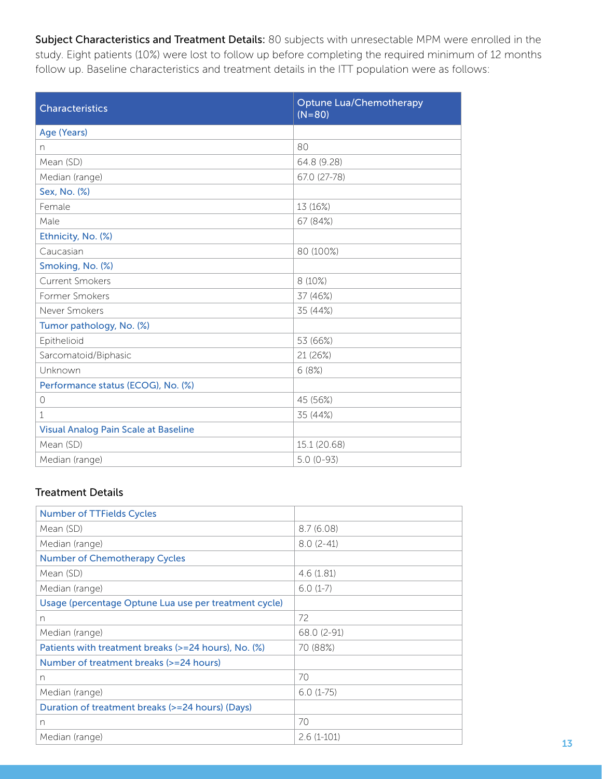Subject Characteristics and Treatment Details: 80 subjects with unresectable MPM were enrolled in the study. Eight patients (10%) were lost to follow up before completing the required minimum of 12 months follow up. Baseline characteristics and treatment details in the ITT population were as follows:

| <b>Characteristics</b>                      | <b>Optune Lua/Chemotherapy</b><br>$(N = 80)$ |
|---------------------------------------------|----------------------------------------------|
| Age (Years)                                 |                                              |
| n                                           | 80                                           |
| Mean (SD)                                   | 64.8 (9.28)                                  |
| Median (range)                              | 67.0 (27-78)                                 |
| Sex, No. (%)                                |                                              |
| Female                                      | 13 (16%)                                     |
| Male                                        | 67 (84%)                                     |
| Ethnicity, No. (%)                          |                                              |
| Caucasian                                   | 80 (100%)                                    |
| Smoking, No. (%)                            |                                              |
| <b>Current Smokers</b>                      | 8 (10%)                                      |
| Former Smokers                              | 37 (46%)                                     |
| Never Smokers                               | 35 (44%)                                     |
| Tumor pathology, No. (%)                    |                                              |
| Epithelioid                                 | 53 (66%)                                     |
| Sarcomatoid/Biphasic                        | 21 (26%)                                     |
| Unknown                                     | 6(8%)                                        |
| Performance status (ECOG), No. (%)          |                                              |
| $\circ$                                     | 45 (56%)                                     |
| $\mathbf 1$                                 | 35 (44%)                                     |
| <b>Visual Analog Pain Scale at Baseline</b> |                                              |
| Mean (SD)                                   | 15.1 (20.68)                                 |
| Median (range)                              | $5.0(0-93)$                                  |

#### **Treatment Details**

| <b>Number of TTFields Cycles</b>                      |              |
|-------------------------------------------------------|--------------|
| Mean (SD)                                             | 8.7(6.08)    |
| Median (range)                                        | $8.0(2-41)$  |
| <b>Number of Chemotherapy Cycles</b>                  |              |
| Mean (SD)                                             | 4.6(1.81)    |
| Median (range)                                        | $6.0(1-7)$   |
| Usage (percentage Optune Lua use per treatment cycle) |              |
| n                                                     | 72           |
| Median (range)                                        | 68.0 (2-91)  |
| Patients with treatment breaks (>=24 hours), No. (%)  | 70 (88%)     |
| Number of treatment breaks (>=24 hours)               |              |
| n                                                     | 70           |
| Median (range)                                        | $6.0(1-75)$  |
| Duration of treatment breaks (>=24 hours) (Days)      |              |
| n                                                     | 70           |
| Median (range)                                        | $2.6(1-101)$ |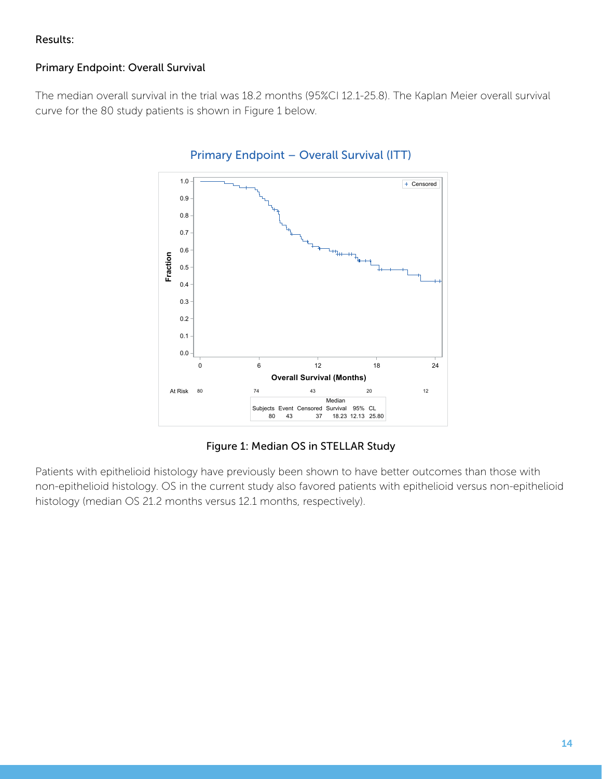#### Results:

### Primary Endpoint: Overall Survival

The median overall survival in the trial was 18.2 months (95%CI 12.1-25.8). The Kaplan Meier overall survival curve for the 80 study patients is shown in Figure 1 below.



#### Primary Endpoint – Overall Survival (ITT)

Figure 1: Median OS in STELLAR Study

Patients with epithelioid histology have previously been shown to have better outcomes than those with non-epithelioid histology. OS in the current study also favored patients with epithelioid versus non-epithelioid histology (median OS 21.2 months versus 12.1 months, respectively).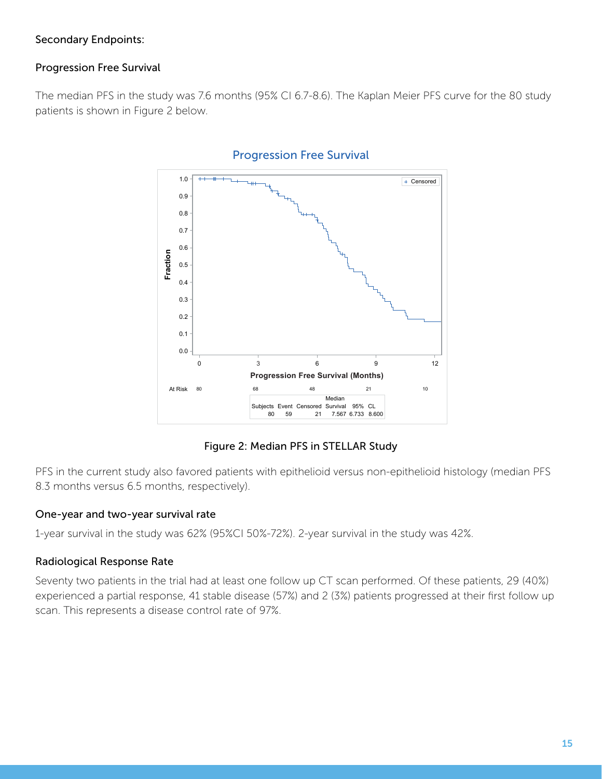#### Secondary Endpoints:

### Progression Free Survival

The median PFS in the study was 7.6 months (95% CI 6.7-8.6). The Kaplan Meier PFS curve for the 80 study patients is shown in Figure 2 below.



#### **Progression Free Survival**

#### Figure 2: Median PFS in STELLAR Study

PFS in the current study also favored patients with epithelioid versus non-epithelioid histology (median PFS 8.3 months versus 6.5 months, respectively).

#### One-year and two-year survival rate

1-year survival in the study was 62% (95%CI 50%-72%). 2-year survival in the study was 42%.

#### Radiological Response Rate

Seventy two patients in the trial had at least one follow up CT scan performed. Of these patients, 29 (40%) experienced a partial response, 41 stable disease (57%) and 2 (3%) patients progressed at their first follow up scan. This represents a disease control rate of 97%.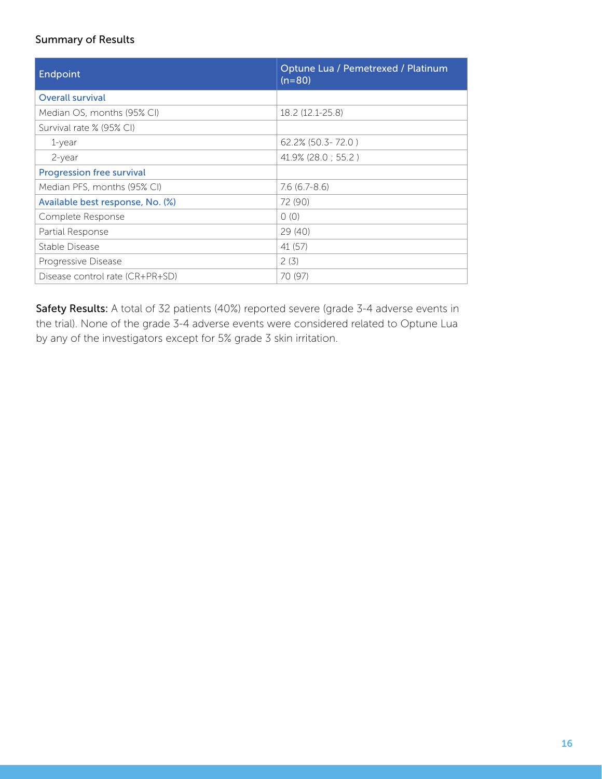#### Summary of Results

| Endpoint                         | Optune Lua / Pemetrexed / Platinum<br>(n=80) |
|----------------------------------|----------------------------------------------|
| <b>Overall survival</b>          |                                              |
| Median OS, months (95% CI)       | 18.2 (12.1-25.8)                             |
| Survival rate % (95% CI)         |                                              |
| $1$ -year                        | $62.2\%$ (50.3-72.0)                         |
| $2$ -year                        | 41.9% (28.0; 55.2)                           |
| <b>Progression free survival</b> |                                              |
| Median PFS, months (95% CI)      | $7.6(6.7-8.6)$                               |
| Available best response, No. (%) | 72 (90)                                      |
| Complete Response                | 0(0)                                         |
| Partial Response                 | 29(40)                                       |
| Stable Disease                   | 41 (57)                                      |
| Progressive Disease              | 2(3)                                         |
| Disease control rate (CR+PR+SD)  | 70 (97)                                      |

Safety Results: A total of 32 patients (40%) reported severe (grade 3-4 adverse events in the trial). None of the grade 3-4 adverse events were considered related to Optune Lua by any of the investigators except for 5% grade 3 skin irritation.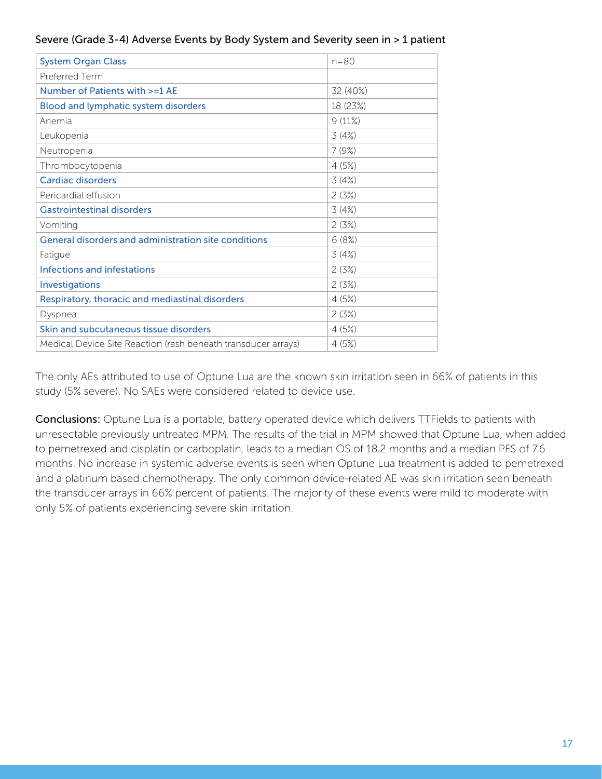#### Severe (Grade 3-4) Adverse Events by Body System and Severity seen in > 1 patient

| <b>System Organ Class</b>                                     | $n = 80$ |
|---------------------------------------------------------------|----------|
| Preferred Term                                                |          |
| Number of Patients with >=1 AE                                | 32 (40%) |
| <b>Blood and lymphatic system disorders</b>                   | 18 (23%) |
| Anemia                                                        | 9(11%)   |
| Leukopenia                                                    | 3(4%)    |
| Neutropenia                                                   | 7(9%)    |
| Thrombocytopenia                                              | 4(5%)    |
| Cardiac disorders                                             | 3(4%)    |
| Pericardial effusion                                          | 2(3%)    |
| <b>Gastrointestinal disorders</b>                             | 3(4%)    |
| Vomiting                                                      | 2(3%)    |
| General disorders and administration site conditions          | 6(8%)    |
| Fatigue                                                       | 3(4%)    |
| Infections and infestations                                   | 2(3%)    |
| Investigations                                                | 2(3%)    |
| Respiratory, thoracic and mediastinal disorders               | 4(5%)    |
| Dyspnea                                                       | 2(3%)    |
| Skin and subcutaneous tissue disorders                        | 4(5%)    |
| Medical Device Site Reaction (rash beneath transducer arrays) | 4(5%)    |

The only AEs attributed to use of Optune Lua are the known skin irritation seen in 66% of patients in this study (5% severe). No SAEs were considered related to device use.

Conclusions: Optune Lua is a portable, battery operated device which delivers TTFields to patients with unresectable previously untreated MPM. The results of the trial in MPM showed that Optune Lua, when added to pemetrexed and cisplatin or carboplatin, leads to a median OS of 18.2 months and a median PFS of 7.6 months. No increase in systemic adverse events is seen when Optune Lua treatment is added to pemetrexed and a platinum based chemotherapy. The only common device-related AE was skin irritation seen beneath the transducer arrays in 66% percent of patients. The majority of these events were mild to moderate with only 5% of patients experiencing severe skin irritation.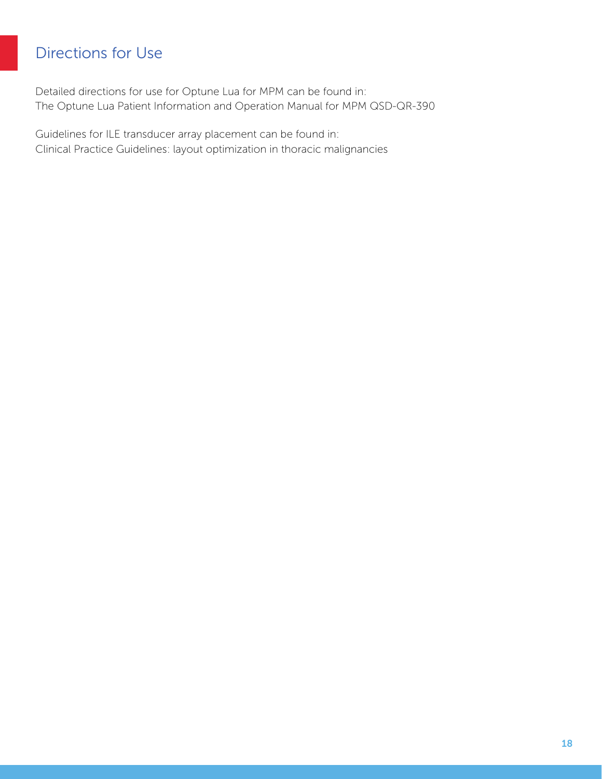# <span id="page-17-0"></span>Directions for Use

Detailed directions for use for Optune Lua for MPM can be found in: The Optune Lua Patient Information and Operation Manual for MPM QSD-QR-390

Guidelines for ILE transducer array placement can be found in: Clinical Practice Guidelines: layout optimization in thoracic malignancies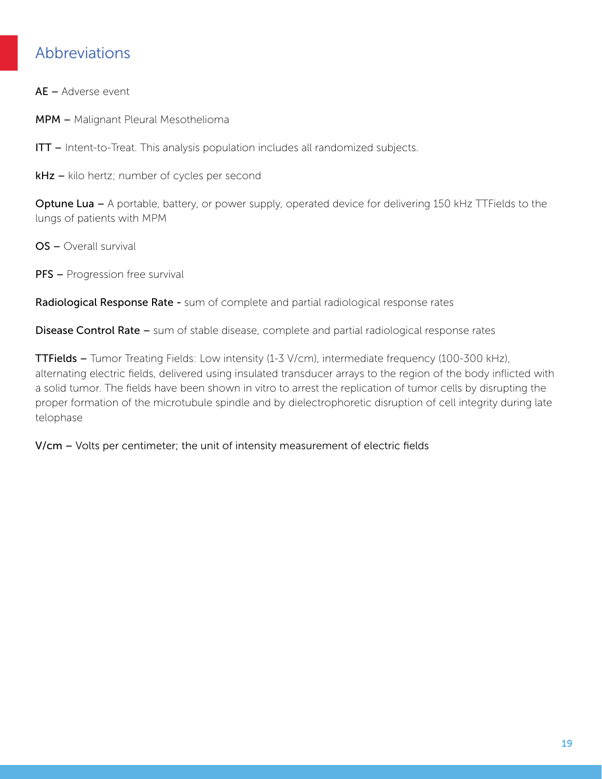### <span id="page-18-0"></span>Abbreviations

 $AE -$  Adverse event

MPM – Malignant Pleural Mesothelioma

ITT - Intent-to-Treat. This analysis population includes all randomized subjects.

kHz – kilo hertz; number of cycles per second

**Optune Lua –** A portable, battery, or power supply, operated device for delivering 150 kHz TTFields to the lungs of patients with MPM

 $OS -$  Overall survival

**PFS** – Progression free survival

Radiological Response Rate - sum of complete and partial radiological response rates

**Disease Control Rate –** sum of stable disease, complete and partial radiological response rates

TTFields - Tumor Treating Fields: Low intensity (1-3 V/cm), intermediate frequency (100-300 kHz), alternating electric fields, delivered using insulated transducer arrays to the region of the body inflicted with a solid tumor. The fields have been shown in vitro to arrest the replication of tumor cells by disrupting the proper formation of the microtubule spindle and by dielectrophoretic disruption of cell integrity during late telophase

 $V/cm - Volts$  per centimeter; the unit of intensity measurement of electric fields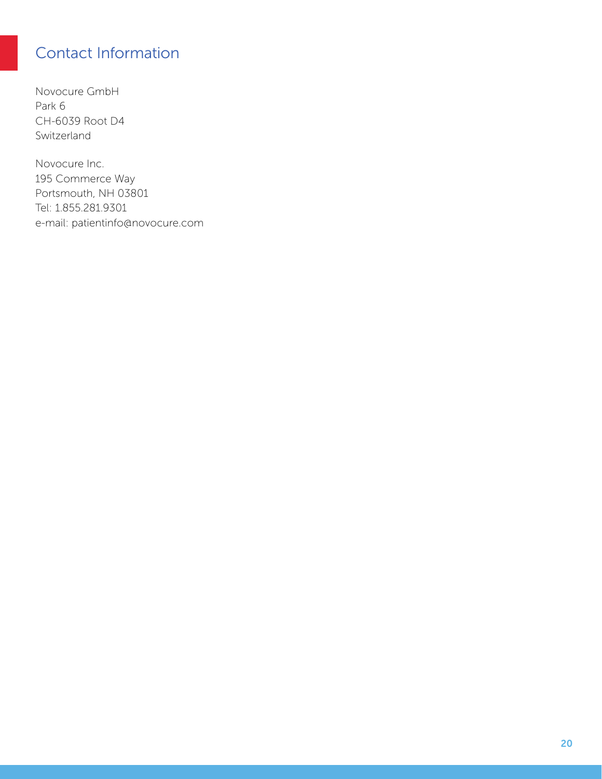# <span id="page-19-0"></span>Contact Information

Novocure GmbH Park 6 CH-6039 Root D4 Switzerland

Novocure Inc. 195 Commerce Way Portsmouth, NH 03801 Tel: 1.855.281.9301 e-mail: patientinfo@novocure.com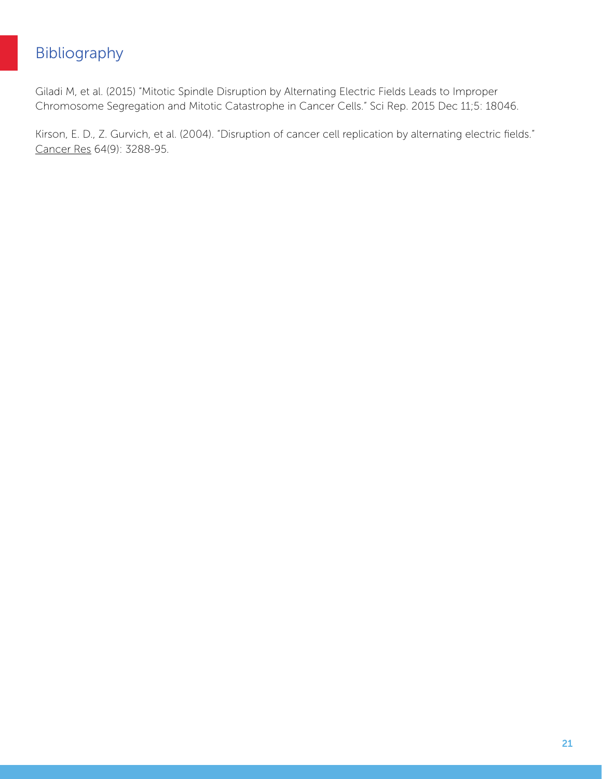# <span id="page-20-0"></span>Bibliography

Giladi M, et al. (2015) "Mitotic Spindle Disruption by Alternating Electric Fields Leads to Improper Chromosome Segregation and Mitotic Catastrophe in Cancer Cells." Sci Rep. 2015 Dec 11;5: 18046.

Kirson, E. D., Z. Gurvich, et al. (2004). "Disruption of cancer cell replication by alternating electric fields." Cancer Res 64(9): 3288-95.